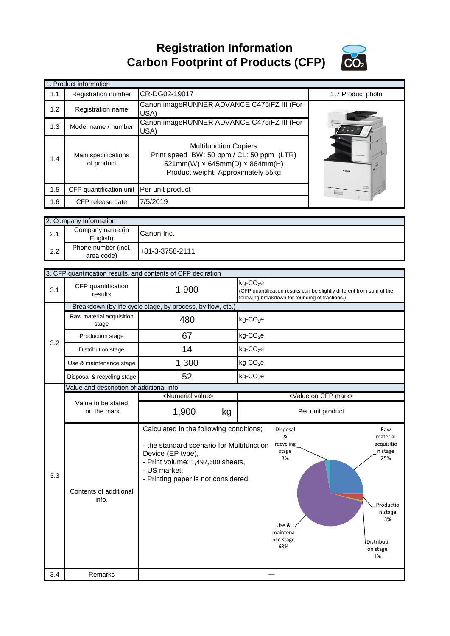**Registration Information Carbon Footprint of Products (CFP)**



|     | 1. Product information                   |                                                                                                                                                               |                   |
|-----|------------------------------------------|---------------------------------------------------------------------------------------------------------------------------------------------------------------|-------------------|
| 1.1 | <b>Registration number</b>               | CR-DG02-19017                                                                                                                                                 | 1.7 Product photo |
| 1.2 | Registration name                        | Canon imageRUNNER ADVANCE C475iFZ III (For<br>USA)                                                                                                            |                   |
| 1.3 | Model name / number                      | Canon imageRUNNER ADVANCE C475iFZ III (For<br>USA)                                                                                                            |                   |
| 1.4 | Main specifications<br>of product        | <b>Multifunction Copiers</b><br>Print speed BW: 50 ppm / CL: 50 ppm (LTR)<br>$521mm(W) \times 645mm(D) \times 864mm(H)$<br>Product weight: Approximately 55kg |                   |
| 1.5 | CFP quantification unit Per unit product |                                                                                                                                                               | <b>Room</b>       |
| 1.6 | CFP release date                         | 7/5/2019                                                                                                                                                      |                   |

|     | 2. Company Information            |                 |  |
|-----|-----------------------------------|-----------------|--|
| 2.1 | Company name (in<br>English)      | Canon Inc.      |  |
| 2.2 | Phone number (incl.<br>area code) | +81-3-3758-2111 |  |

|     | 3. CFP quantification results, and contents of CFP declration |                                                                                                                                                            |                                                                                                                                                                                  |
|-----|---------------------------------------------------------------|------------------------------------------------------------------------------------------------------------------------------------------------------------|----------------------------------------------------------------------------------------------------------------------------------------------------------------------------------|
| 3.1 | CFP quantification<br>results                                 | 1,900                                                                                                                                                      | $kg$ -CO <sub>2</sub> e<br>(CFP quantification results can be slightly different from sum of the<br>following breakdown for rounding of fractions.)                              |
|     |                                                               | Breakdown (by life cycle stage, by process, by flow, etc.)                                                                                                 |                                                                                                                                                                                  |
|     | Raw material acquisition<br>stage                             | 480                                                                                                                                                        | $kg$ -CO <sub>2</sub> e                                                                                                                                                          |
| 3.2 | Production stage                                              | 67                                                                                                                                                         | $kg$ -CO <sub>2</sub> e                                                                                                                                                          |
|     | Distribution stage                                            | 14                                                                                                                                                         | $kg$ -CO <sub>2</sub> e                                                                                                                                                          |
|     | Use & maintenance stage                                       | 1,300                                                                                                                                                      | $kg$ -CO <sub>2</sub> e                                                                                                                                                          |
|     | Disposal & recycling stage                                    | 52                                                                                                                                                         | $kg$ -CO <sub>2</sub> e                                                                                                                                                          |
|     | Value and description of additional info.                     |                                                                                                                                                            |                                                                                                                                                                                  |
|     |                                                               | <numerial value=""></numerial>                                                                                                                             | <value cfp="" mark="" on=""></value>                                                                                                                                             |
|     | Value to be stated<br>on the mark                             | 1,900<br>kg                                                                                                                                                | Per unit product                                                                                                                                                                 |
|     |                                                               | Calculated in the following conditions;                                                                                                                    | Disposal<br>Raw                                                                                                                                                                  |
| 3.3 | Contents of additional<br>info.                               | - the standard scenario for Multifunction<br>Device (EP type),<br>- Print volume: 1,497,600 sheets,<br>- US market,<br>- Printing paper is not considered. | &<br>material<br>recycling<br>acquisitio<br>stage<br>n stage<br>3%<br>25%<br>Productio<br>n stage<br>3%<br>Use &<br>maintena<br>nce stage<br>Distributi<br>68%<br>on stage<br>1% |